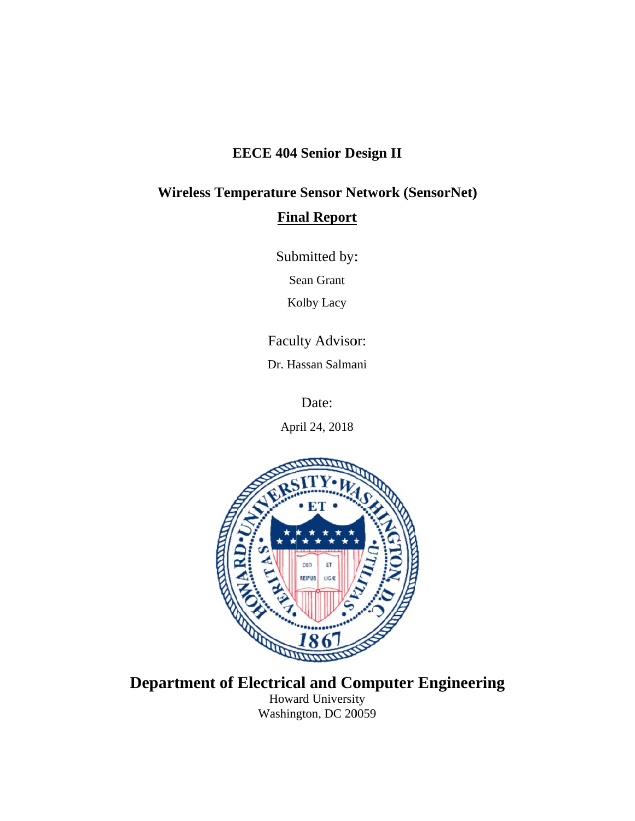## **EECE 404 Senior Design II**

# **Wireless Temperature Sensor Network (SensorNet) Final Report**

Submitted by:

Sean Grant

Kolby Lacy

Faculty Advisor:

Dr. Hassan Salmani

Date:

April 24, 2018



## **Department of Electrical and Computer Engineering** Howard University

Washington, DC 20059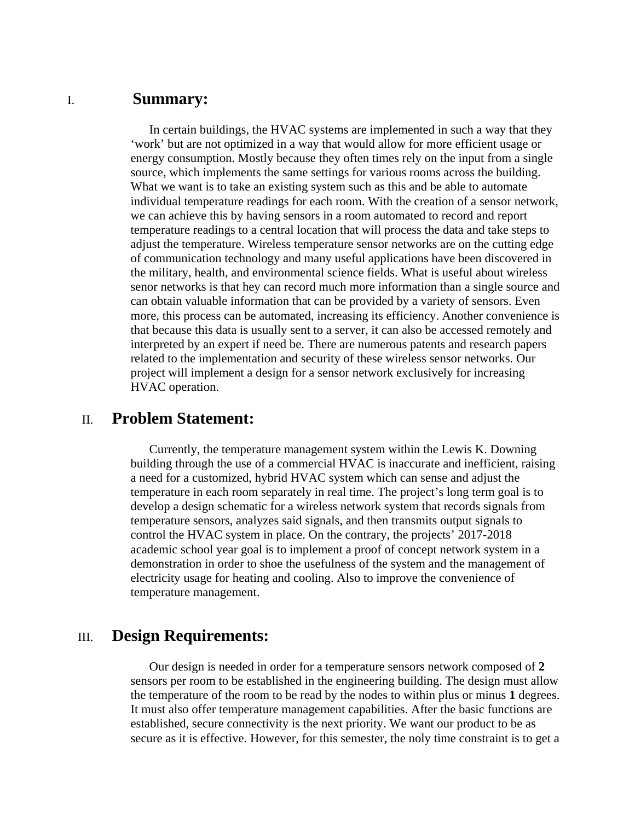#### I. **Summary:**

In certain buildings, the HVAC systems are implemented in such a way that they 'work' but are not optimized in a way that would allow for more efficient usage or energy consumption. Mostly because they often times rely on the input from a single source, which implements the same settings for various rooms across the building. What we want is to take an existing system such as this and be able to automate individual temperature readings for each room. With the creation of a sensor network, we can achieve this by having sensors in a room automated to record and report temperature readings to a central location that will process the data and take steps to adjust the temperature. Wireless temperature sensor networks are on the cutting edge of communication technology and many useful applications have been discovered in the military, health, and environmental science fields. What is useful about wireless senor networks is that hey can record much more information than a single source and can obtain valuable information that can be provided by a variety of sensors. Even more, this process can be automated, increasing its efficiency. Another convenience is that because this data is usually sent to a server, it can also be accessed remotely and interpreted by an expert if need be. There are numerous patents and research papers related to the implementation and security of these wireless sensor networks. Our project will implement a design for a sensor network exclusively for increasing HVAC operation.

#### II. **Problem Statement:**

Currently, the temperature management system within the Lewis K. Downing building through the use of a commercial HVAC is inaccurate and inefficient, raising a need for a customized, hybrid HVAC system which can sense and adjust the temperature in each room separately in real time. The project's long term goal is to develop a design schematic for a wireless network system that records signals from temperature sensors, analyzes said signals, and then transmits output signals to control the HVAC system in place. On the contrary, the projects' 2017-2018 academic school year goal is to implement a proof of concept network system in a demonstration in order to shoe the usefulness of the system and the management of electricity usage for heating and cooling. Also to improve the convenience of temperature management.

#### III. **Design Requirements:**

Our design is needed in order for a temperature sensors network composed of **2**  sensors per room to be established in the engineering building. The design must allow the temperature of the room to be read by the nodes to within plus or minus **1** degrees. It must also offer temperature management capabilities. After the basic functions are established, secure connectivity is the next priority. We want our product to be as secure as it is effective. However, for this semester, the noly time constraint is to get a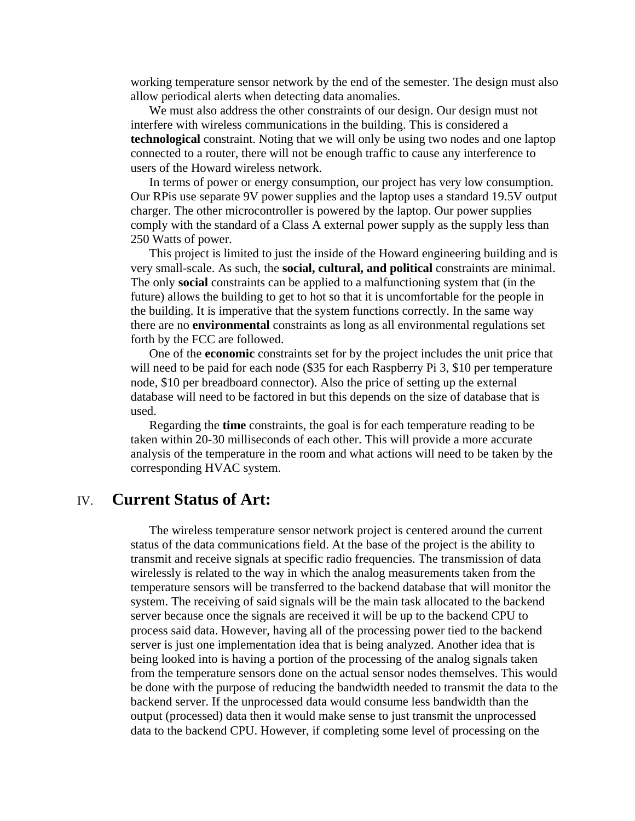working temperature sensor network by the end of the semester. The design must also allow periodical alerts when detecting data anomalies.

We must also address the other constraints of our design. Our design must not interfere with wireless communications in the building. This is considered a **technological** constraint. Noting that we will only be using two nodes and one laptop connected to a router, there will not be enough traffic to cause any interference to users of the Howard wireless network.

In terms of power or energy consumption, our project has very low consumption. Our RPis use separate 9V power supplies and the laptop uses a standard 19.5V output charger. The other microcontroller is powered by the laptop. Our power supplies comply with the standard of a Class A external power supply as the supply less than 250 Watts of power.

This project is limited to just the inside of the Howard engineering building and is very small-scale. As such, the **social, cultural, and political** constraints are minimal. The only **social** constraints can be applied to a malfunctioning system that (in the future) allows the building to get to hot so that it is uncomfortable for the people in the building. It is imperative that the system functions correctly. In the same way there are no **environmental** constraints as long as all environmental regulations set forth by the FCC are followed.

One of the **economic** constraints set for by the project includes the unit price that will need to be paid for each node (\$35 for each Raspberry Pi 3, \$10 per temperature node, \$10 per breadboard connector). Also the price of setting up the external database will need to be factored in but this depends on the size of database that is used.

Regarding the **time** constraints, the goal is for each temperature reading to be taken within 20-30 milliseconds of each other. This will provide a more accurate analysis of the temperature in the room and what actions will need to be taken by the corresponding HVAC system.

#### IV. **Current Status of Art:**

The wireless temperature sensor network project is centered around the current status of the data communications field. At the base of the project is the ability to transmit and receive signals at specific radio frequencies. The transmission of data wirelessly is related to the way in which the analog measurements taken from the temperature sensors will be transferred to the backend database that will monitor the system. The receiving of said signals will be the main task allocated to the backend server because once the signals are received it will be up to the backend CPU to process said data. However, having all of the processing power tied to the backend server is just one implementation idea that is being analyzed. Another idea that is being looked into is having a portion of the processing of the analog signals taken from the temperature sensors done on the actual sensor nodes themselves. This would be done with the purpose of reducing the bandwidth needed to transmit the data to the backend server. If the unprocessed data would consume less bandwidth than the output (processed) data then it would make sense to just transmit the unprocessed data to the backend CPU. However, if completing some level of processing on the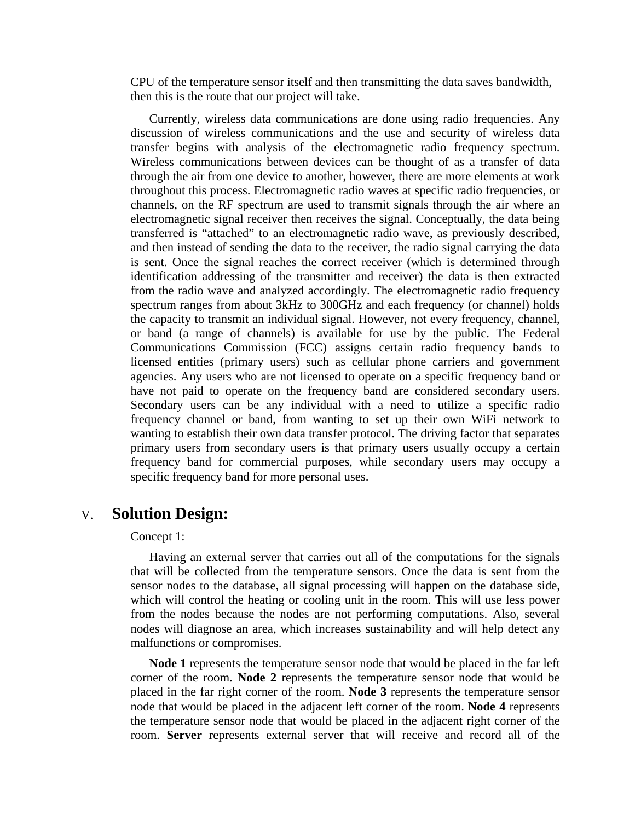CPU of the temperature sensor itself and then transmitting the data saves bandwidth, then this is the route that our project will take.

 Currently, wireless data communications are done using radio frequencies. Any discussion of wireless communications and the use and security of wireless data transfer begins with analysis of the electromagnetic radio frequency spectrum. Wireless communications between devices can be thought of as a transfer of data through the air from one device to another, however, there are more elements at work throughout this process. Electromagnetic radio waves at specific radio frequencies, or channels, on the RF spectrum are used to transmit signals through the air where an electromagnetic signal receiver then receives the signal. Conceptually, the data being transferred is "attached" to an electromagnetic radio wave, as previously described, and then instead of sending the data to the receiver, the radio signal carrying the data is sent. Once the signal reaches the correct receiver (which is determined through identification addressing of the transmitter and receiver) the data is then extracted from the radio wave and analyzed accordingly. The electromagnetic radio frequency spectrum ranges from about 3kHz to 300GHz and each frequency (or channel) holds the capacity to transmit an individual signal. However, not every frequency, channel, or band (a range of channels) is available for use by the public. The Federal Communications Commission (FCC) assigns certain radio frequency bands to licensed entities (primary users) such as cellular phone carriers and government agencies. Any users who are not licensed to operate on a specific frequency band or have not paid to operate on the frequency band are considered secondary users. Secondary users can be any individual with a need to utilize a specific radio frequency channel or band, from wanting to set up their own WiFi network to wanting to establish their own data transfer protocol. The driving factor that separates primary users from secondary users is that primary users usually occupy a certain frequency band for commercial purposes, while secondary users may occupy a specific frequency band for more personal uses.

## V. **Solution Design:**

#### Concept 1:

 Having an external server that carries out all of the computations for the signals that will be collected from the temperature sensors. Once the data is sent from the sensor nodes to the database, all signal processing will happen on the database side, which will control the heating or cooling unit in the room. This will use less power from the nodes because the nodes are not performing computations. Also, several nodes will diagnose an area, which increases sustainability and will help detect any malfunctions or compromises.

**Node 1** represents the temperature sensor node that would be placed in the far left corner of the room. **Node 2** represents the temperature sensor node that would be placed in the far right corner of the room. **Node 3** represents the temperature sensor node that would be placed in the adjacent left corner of the room. **Node 4** represents the temperature sensor node that would be placed in the adjacent right corner of the room. **Server** represents external server that will receive and record all of the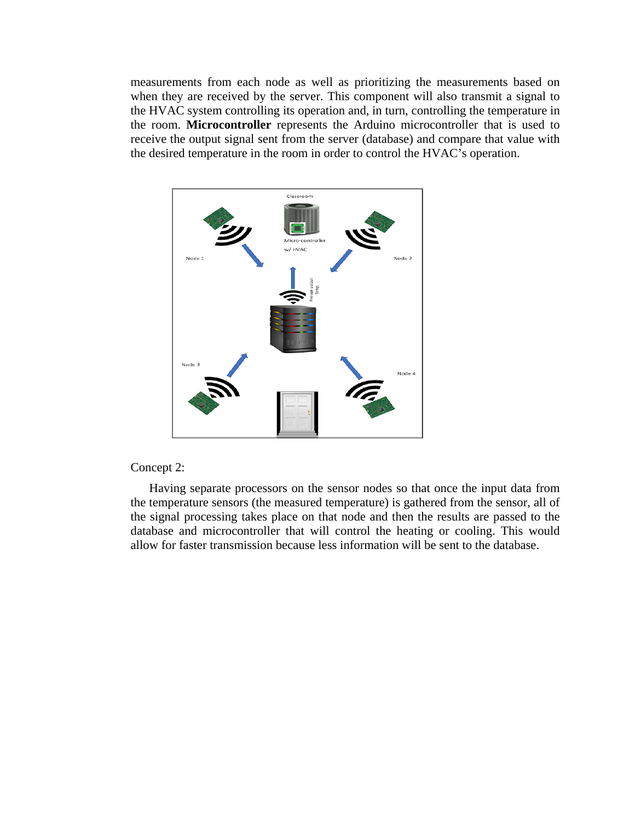measurements from each node as well as prioritizing the measurements based on when they are received by the server. This component will also transmit a signal to the HVAC system controlling its operation and, in turn, controlling the temperature in the room. **Microcontroller** represents the Arduino microcontroller that is used to receive the output signal sent from the server (database) and compare that value with the desired temperature in the room in order to control the HVAC's operation.



#### Concept 2:

 Having separate processors on the sensor nodes so that once the input data from the temperature sensors (the measured temperature) is gathered from the sensor, all of the signal processing takes place on that node and then the results are passed to the database and microcontroller that will control the heating or cooling. This would allow for faster transmission because less information will be sent to the database.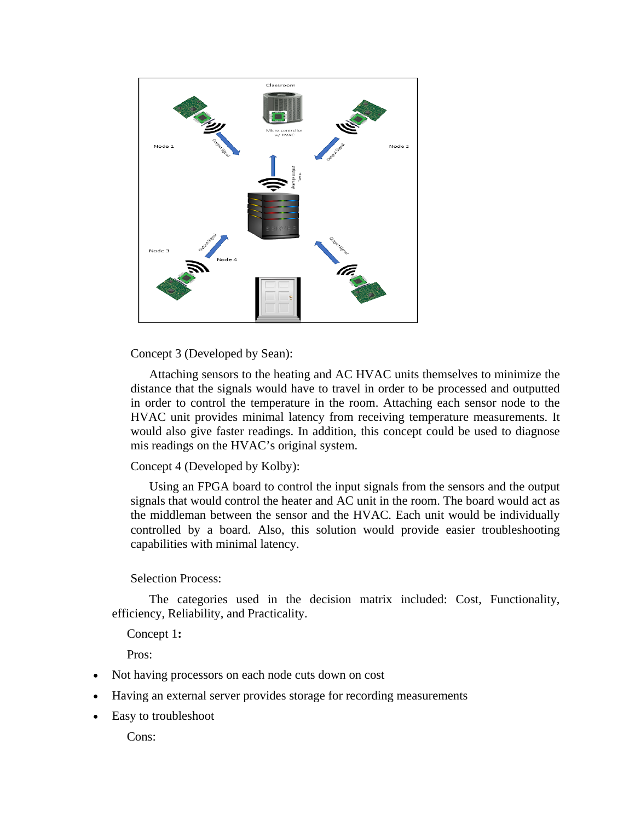

Concept 3 (Developed by Sean):

 Attaching sensors to the heating and AC HVAC units themselves to minimize the distance that the signals would have to travel in order to be processed and outputted in order to control the temperature in the room. Attaching each sensor node to the HVAC unit provides minimal latency from receiving temperature measurements. It would also give faster readings. In addition, this concept could be used to diagnose mis readings on the HVAC's original system.

Concept 4 (Developed by Kolby):

 Using an FPGA board to control the input signals from the sensors and the output signals that would control the heater and AC unit in the room. The board would act as the middleman between the sensor and the HVAC. Each unit would be individually controlled by a board. Also, this solution would provide easier troubleshooting capabilities with minimal latency.

#### Selection Process:

 The categories used in the decision matrix included: Cost, Functionality, efficiency, Reliability, and Practicality.

Concept 1**:**

Pros:

- Not having processors on each node cuts down on cost
- Having an external server provides storage for recording measurements
- Easy to troubleshoot

Cons: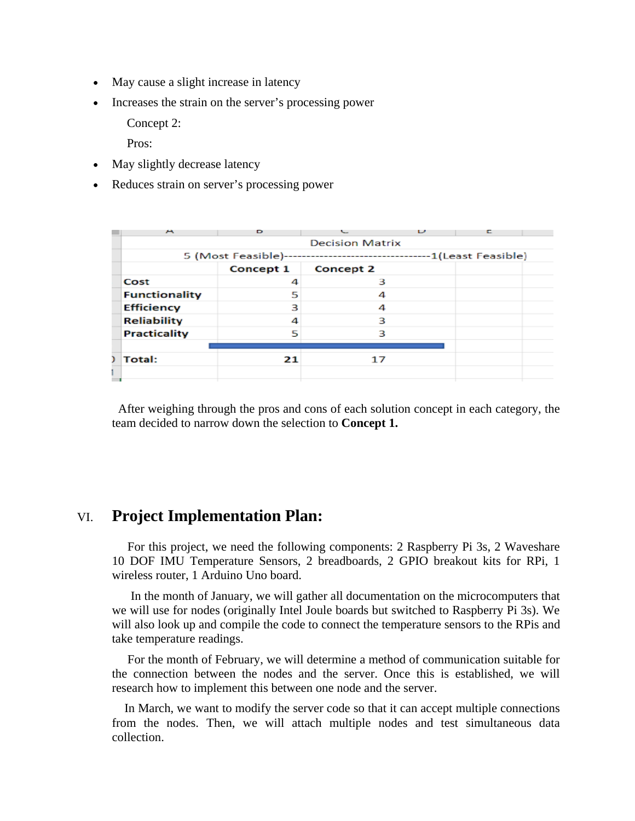- May cause a slight increase in latency
- Increases the strain on the server's processing power

Concept 2:

Pros:

- May slightly decrease latency
- Reduces strain on server's processing power

| A                    | Ð                      |           | υ |                      |  |  |  |
|----------------------|------------------------|-----------|---|----------------------|--|--|--|
|                      | <b>Decision Matrix</b> |           |   |                      |  |  |  |
|                      | 5 (Most Feasible)--    |           |   | ---1(Least Feasible) |  |  |  |
|                      | Concept 1              | Concept 2 |   |                      |  |  |  |
| Cost                 | 4                      | з         |   |                      |  |  |  |
| <b>Functionality</b> | 5                      |           |   |                      |  |  |  |
| <b>Efficiency</b>    | 3                      | Δ         |   |                      |  |  |  |
| <b>Reliability</b>   | 4                      | ٩         |   |                      |  |  |  |
| <b>Practicality</b>  | ς                      | ٦         |   |                      |  |  |  |
|                      |                        |           |   |                      |  |  |  |
| ) Total:             | 21                     | 17        |   |                      |  |  |  |
|                      |                        |           |   |                      |  |  |  |
|                      |                        |           |   |                      |  |  |  |

 After weighing through the pros and cons of each solution concept in each category, the team decided to narrow down the selection to **Concept 1.**

### VI. **Project Implementation Plan:**

 For this project, we need the following components: 2 Raspberry Pi 3s, 2 Waveshare 10 DOF IMU Temperature Sensors, 2 breadboards, 2 GPIO breakout kits for RPi, 1 wireless router, 1 Arduino Uno board.

 In the month of January, we will gather all documentation on the microcomputers that we will use for nodes (originally Intel Joule boards but switched to Raspberry Pi 3s). We will also look up and compile the code to connect the temperature sensors to the RPis and take temperature readings.

 For the month of February, we will determine a method of communication suitable for the connection between the nodes and the server. Once this is established, we will research how to implement this between one node and the server.

 In March, we want to modify the server code so that it can accept multiple connections from the nodes. Then, we will attach multiple nodes and test simultaneous data collection.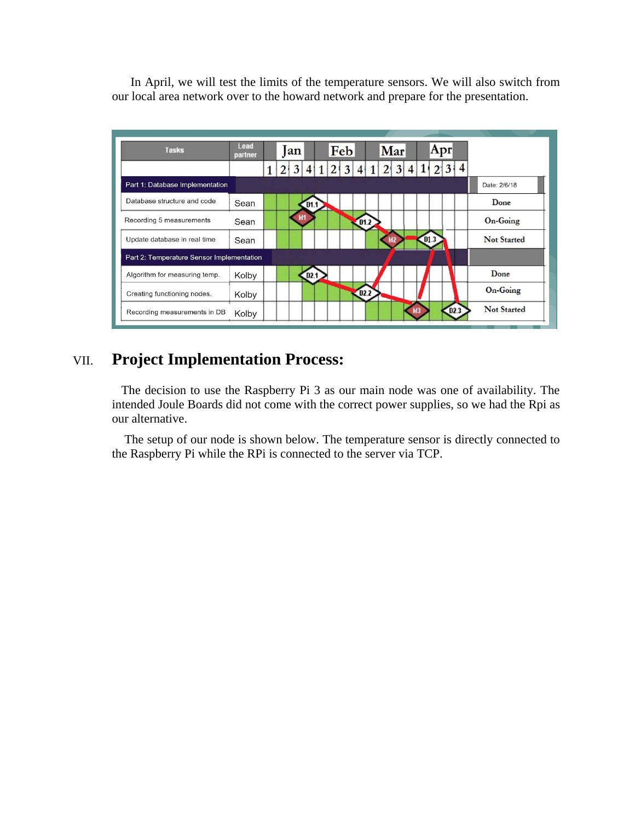In April, we will test the limits of the temperature sensors. We will also switch from our local area network over to the howard network and prepare for the presentation.

| <b>Tasks</b>                              | Lead<br>partner |  | an |                  |  | Feb |                  |  | Mar |      | Apr |      |                    |
|-------------------------------------------|-----------------|--|----|------------------|--|-----|------------------|--|-----|------|-----|------|--------------------|
|                                           |                 |  | 3  |                  |  |     |                  |  | h   |      | 31  | 4    |                    |
| Part 1: Database Implementation           |                 |  |    |                  |  |     |                  |  |     |      |     |      | Date: 2/6/18       |
| Database structure and code               | Sean            |  |    | D1.1             |  |     |                  |  |     |      |     |      | Done               |
| Recording 5 measurements                  | Sean            |  |    |                  |  |     | D1.2             |  |     |      |     |      | On-Going           |
| Update database in real time              | Sean            |  |    |                  |  |     |                  |  |     | D1.3 |     |      | <b>Not Started</b> |
| Part 2: Temperature Sensor Implementation |                 |  |    |                  |  |     |                  |  |     |      |     |      |                    |
| Algorithm for measuring temp.             | Kolby           |  |    | D <sub>2.1</sub> |  |     |                  |  |     |      |     |      | Done               |
| Creating functioning nodes.               | Kolby           |  |    |                  |  |     | D <sub>2.2</sub> |  |     |      |     |      | <b>On-Going</b>    |
| Recording measurements in DB              | Kolby           |  |    |                  |  |     |                  |  |     |      |     | D2.3 | <b>Not Started</b> |

## VII. **Project Implementation Process:**

 The decision to use the Raspberry Pi 3 as our main node was one of availability. The intended Joule Boards did not come with the correct power supplies, so we had the Rpi as our alternative.

 The setup of our node is shown below. The temperature sensor is directly connected to the Raspberry Pi while the RPi is connected to the server via TCP.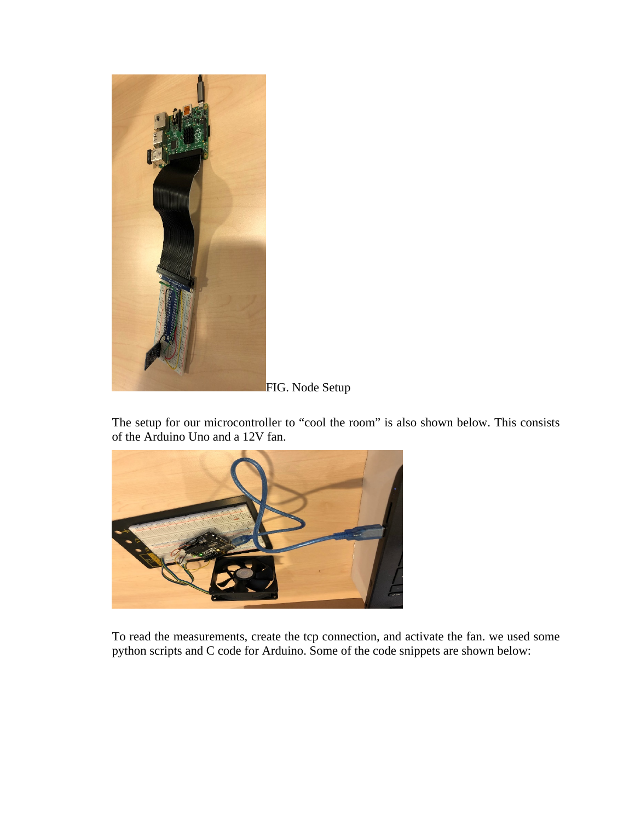

FIG. Node Setup

The setup for our microcontroller to "cool the room" is also shown below. This consists of the Arduino Uno and a 12V fan.



To read the measurements, create the tcp connection, and activate the fan. we used some python scripts and C code for Arduino. Some of the code snippets are shown below: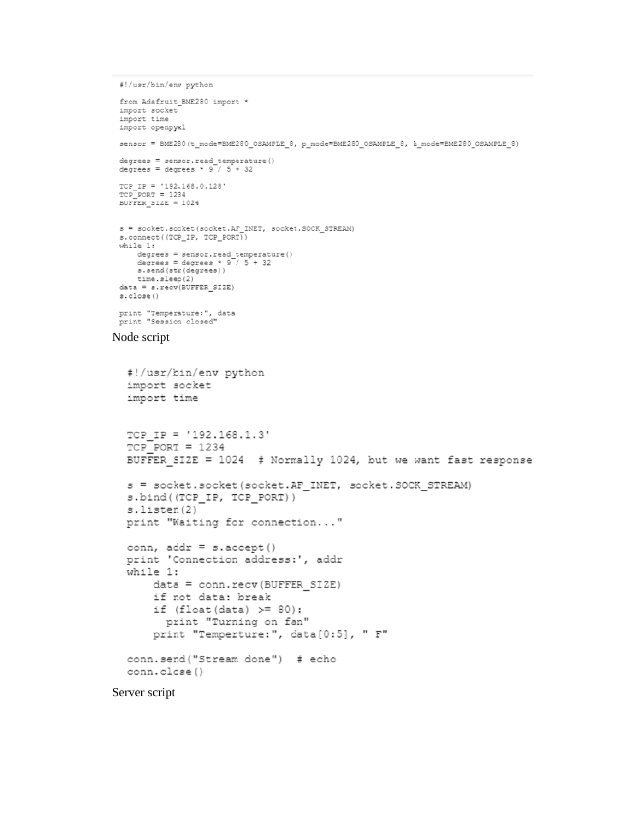```
#!/usr/bin/env python
```

```
from Adafruit BME280 import *
 import socket
 import time
 import openpyxl
 sensor = BME280(t_mode=BME280_OSAMPLE_8, p_mode=BME280_OSAMPLE_8, h_mode=BME280_OSAMPLE_8)
 degrees = sensor.read_temperature()<br>degrees = degrees * 9 / 5 + 32TCP_IP = '192.168.0.128'
 TCP \overline{P}ORT = 1234BUFFER SIZE = 1024
 s = \texttt{socket.sockets}(\texttt{socket}.\texttt{AF\_INET}, \texttt{socket.SOCR\_STREAM})s.\texttt{connect}((\texttt{TCP\_IP}, \texttt{TCP\_PORT}))while 1:
     degrees = sensor.read_temperature()<br>degrees = degrees * 9 / 5 + 32
     s.send(str(degrees))
      time.sleep(2)
 data = s \rvert (BUFFER SIZE)
 s.close()
 print "Temperature:", data<br>print "Session closed"
Node script
    #!/usr/bin/env python
    import socket
    import time
```

```
TCP IP = '192.168.1.3'
TCP \overline{PORT} = 1234BUFFER SIZE = 1024 # Normally 1024, but we want fast response
s = socket.socket(socket.AF_INET, socket.SOCK_STREAM)
s.bind((TCP IP, TCP PORT))
s.listen(2)
print "Waiting for connection..."
conn, addr = s. accept()print 'Connection address:', addr
while 1:
    data = conn.recv(BUFFER SIZE)
    if not data: break
    if (float <math>(data) \ge 80:
```

```
print "Turning on fan"
    print "Temperture:", data[0:5], " F"
conn.send("Stream done") # echo
conn.close()
```
Server script